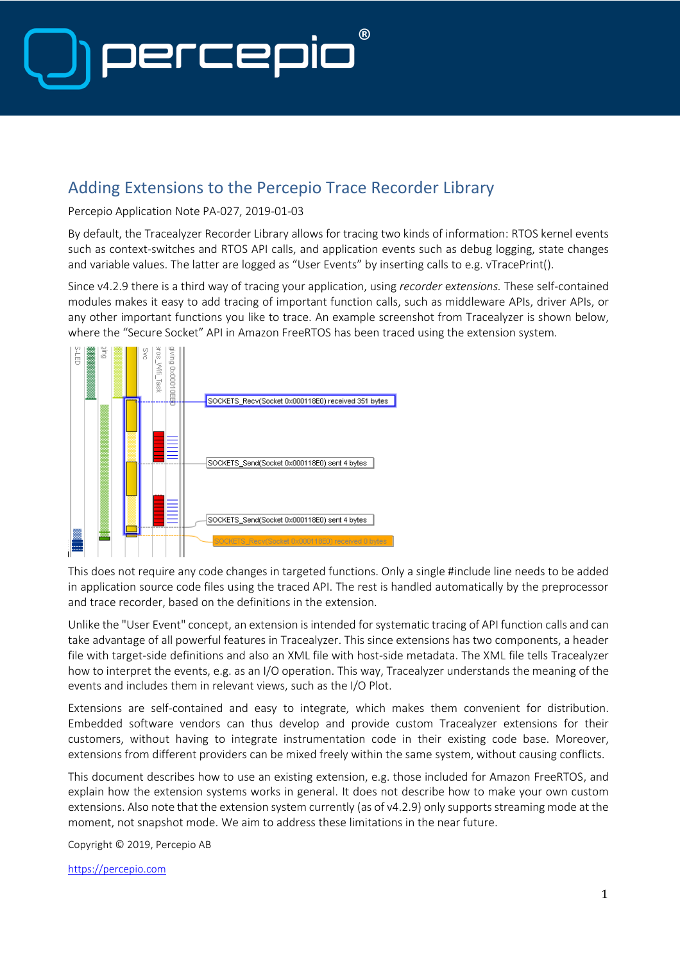

### Adding Extensions to the Percepio Trace Recorder Library

Percepio Application Note PA-027, 2019-01-03

By default, the Tracealyzer Recorder Library allows for tracing two kinds of information: RTOS kernel events such as context-switches and RTOS API calls, and application events such as debug logging, state changes and variable values. The latter are logged as "User Events" by inserting calls to e.g. vTracePrint().

Since v4.2.9 there is a third way of tracing your application, using *recorder* e*xtensions.* These self-contained modules makes it easy to add tracing of important function calls, such as middleware APIs, driver APIs, or any other important functions you like to trace. An example screenshot from Tracealyzer is shown below, where the "Secure Socket" API in Amazon FreeRTOS has been traced using the extension system.



This does not require any code changes in targeted functions. Only a single #include line needs to be added in application source code files using the traced API. The rest is handled automatically by the preprocessor and trace recorder, based on the definitions in the extension.

Unlike the "User Event" concept, an extension is intended for systematic tracing of API function calls and can take advantage of all powerful features in Tracealyzer. This since extensions has two components, a header file with target-side definitions and also an XML file with host-side metadata. The XML file tells Tracealyzer how to interpret the events, e.g. as an I/O operation. This way, Tracealyzer understands the meaning of the events and includes them in relevant views, such as the I/O Plot.

Extensions are self-contained and easy to integrate, which makes them convenient for distribution. Embedded software vendors can thus develop and provide custom Tracealyzer extensions for their customers, without having to integrate instrumentation code in their existing code base. Moreover, extensions from different providers can be mixed freely within the same system, without causing conflicts.

This document describes how to use an existing extension, e.g. those included for Amazon FreeRTOS, and explain how the extension systems works in general. It does not describe how to make your own custom extensions. Also note that the extension system currently (as of v4.2.9) only supports streaming mode at the moment, not snapshot mode. We aim to address these limitations in the near future.

Copyright © 2019, Percepio AB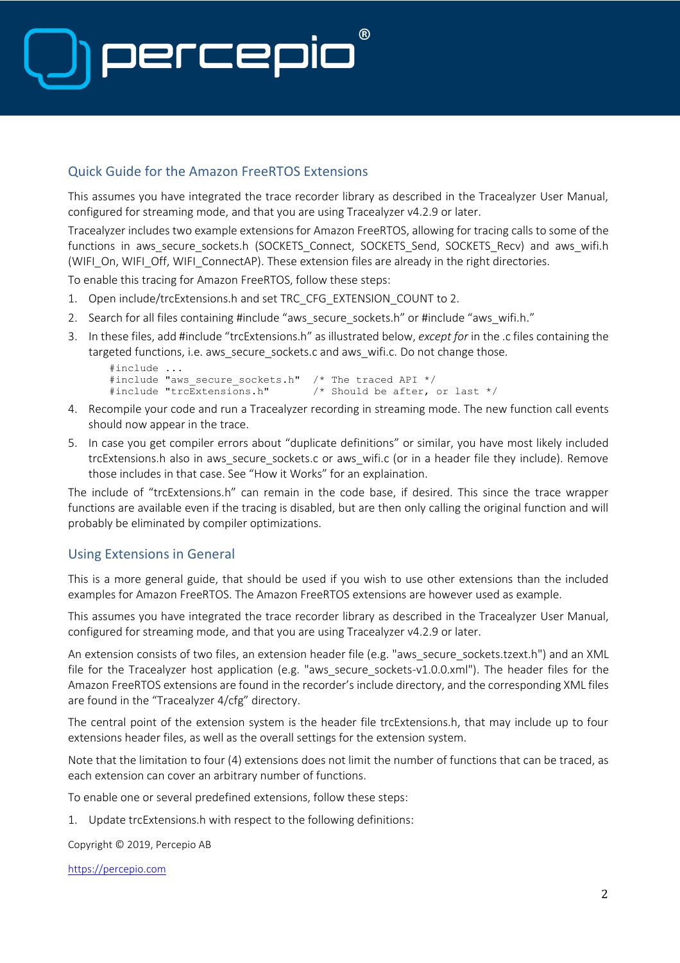# $(R)$ Dercer

### Quick Guide for the Amazon FreeRTOS Extensions

This assumes you have integrated the trace recorder library as described in the Tracealyzer User Manual, configured for streaming mode, and that you are using Tracealyzer v4.2.9 or later.

Tracealyzer includes two example extensions for Amazon FreeRTOS, allowing for tracing calls to some of the functions in aws secure sockets.h (SOCKETS Connect, SOCKETS Send, SOCKETS Recv) and aws wifi.h (WIFI\_On, WIFI\_Off, WIFI\_ConnectAP). These extension files are already in the right directories.

To enable this tracing for Amazon FreeRTOS, follow these steps:

- 1. Open include/trcExtensions.h and set TRC\_CFG\_EXTENSION\_COUNT to 2.
- 2. Search for all files containing #include "aws\_secure\_sockets.h" or #include "aws\_wifi.h."
- 3. In these files, add #include "trcExtensions.h" as illustrated below, *except for* in the .c files containing the targeted functions, i.e. aws\_secure\_sockets.c and aws\_wifi.c. Do not change those.

```
#include ...
#include "aws_secure_sockets.h" /* The traced API */<br>#include "trcExtensions.h" /* Should be after,
                                                  /* Should be after, or last */
```
- 4. Recompile your code and run a Tracealyzer recording in streaming mode. The new function call events should now appear in the trace.
- 5. In case you get compiler errors about "duplicate definitions" or similar, you have most likely included trcExtensions.h also in aws\_secure\_sockets.c or aws\_wifi.c (or in a header file they include). Remove those includes in that case. See "How it Works" for an explaination.

The include of "trcExtensions.h" can remain in the code base, if desired. This since the trace wrapper functions are available even if the tracing is disabled, but are then only calling the original function and will probably be eliminated by compiler optimizations.

#### Using Extensions in General

This is a more general guide, that should be used if you wish to use other extensions than the included examples for Amazon FreeRTOS. The Amazon FreeRTOS extensions are however used as example.

This assumes you have integrated the trace recorder library as described in the Tracealyzer User Manual, configured for streaming mode, and that you are using Tracealyzer v4.2.9 or later.

An extension consists of two files, an extension header file (e.g. "aws\_secure\_sockets.tzext.h") and an XML file for the Tracealyzer host application (e.g. "aws secure sockets-v1.0.0.xml"). The header files for the Amazon FreeRTOS extensions are found in the recorder's include directory, and the corresponding XML files are found in the "Tracealyzer 4/cfg" directory.

The central point of the extension system is the header file trcExtensions.h, that may include up to four extensions header files, as well as the overall settings for the extension system.

Note that the limitation to four (4) extensions does not limit the number of functions that can be traced, as each extension can cover an arbitrary number of functions.

To enable one or several predefined extensions, follow these steps:

1. Update trcExtensions.h with respect to the following definitions:

Copyright © 2019, Percepio AB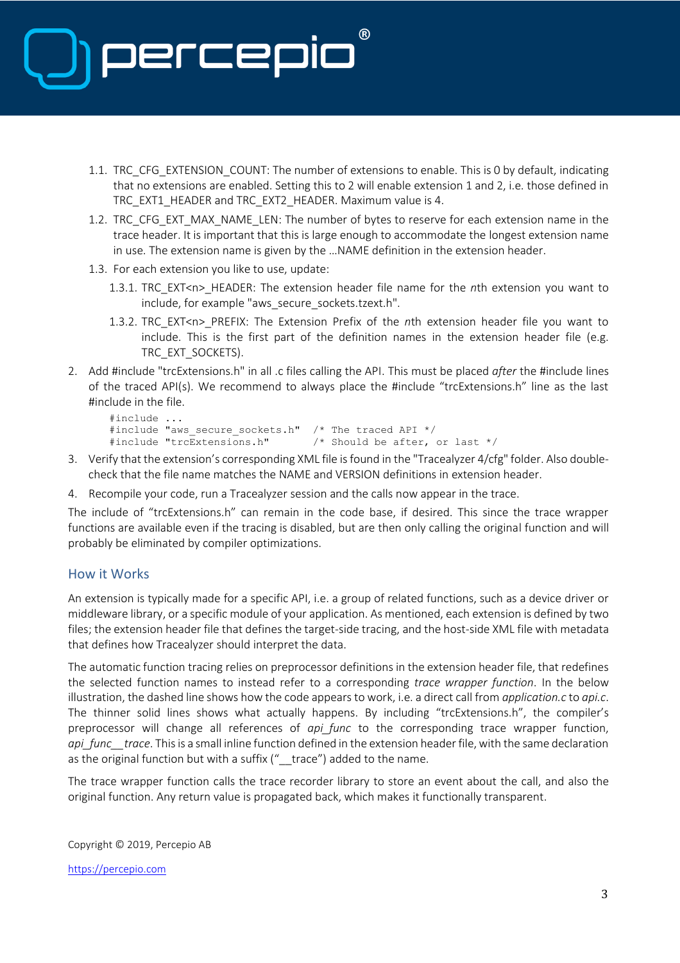

- 1.1. TRC\_CFG\_EXTENSION\_COUNT: The number of extensions to enable. This is 0 by default, indicating that no extensions are enabled. Setting this to 2 will enable extension 1 and 2, i.e. those defined in TRC\_EXT1\_HEADER and TRC\_EXT2\_HEADER. Maximum value is 4.
- 1.2. TRC\_CFG\_EXT\_MAX\_NAME\_LEN: The number of bytes to reserve for each extension name in the trace header. It is important that this is large enough to accommodate the longest extension name in use. The extension name is given by the …NAME definition in the extension header.
- 1.3. For each extension you like to use, update:
	- 1.3.1. TRC\_EXT<n>\_HEADER: The extension header file name for the *n*th extension you want to include, for example "aws secure sockets.tzext.h".
	- 1.3.2. TRC\_EXT<n>\_PREFIX: The Extension Prefix of the *n*th extension header file you want to include. This is the first part of the definition names in the extension header file (e.g. TRC\_EXT\_SOCKETS).
- 2. Add #include "trcExtensions.h" in all .c files calling the API. This must be placed *after* the #include lines of the traced API(s). We recommend to always place the #include "trcExtensions.h" line as the last #include in the file.

```
#include ...
#include "aws secure sockets.h" /* The traced API */
#include "trcExtensions.h" /* Should be after, or last */
```
- 3. Verify that the extension's corresponding XML file is found in the "Tracealyzer 4/cfg" folder. Also doublecheck that the file name matches the NAME and VERSION definitions in extension header.
- 4. Recompile your code, run a Tracealyzer session and the calls now appear in the trace.

The include of "trcExtensions.h" can remain in the code base, if desired. This since the trace wrapper functions are available even if the tracing is disabled, but are then only calling the original function and will probably be eliminated by compiler optimizations.

#### How it Works

An extension is typically made for a specific API, i.e. a group of related functions, such as a device driver or middleware library, or a specific module of your application. As mentioned, each extension is defined by two files; the extension header file that defines the target-side tracing, and the host-side XML file with metadata that defines how Tracealyzer should interpret the data.

The automatic function tracing relies on preprocessor definitions in the extension header file, that redefines the selected function names to instead refer to a corresponding *trace wrapper function*. In the below illustration, the dashed line shows how the code appears to work, i.e. a direct call from *application.c* to *api.c*. The thinner solid lines shows what actually happens. By including "trcExtensions.h", the compiler's preprocessor will change all references of *api\_func* to the corresponding trace wrapper function, *api\_func\_\_trace*. This is a small inline function defined in the extension header file, with the same declaration as the original function but with a suffix ("\_trace") added to the name.

The trace wrapper function calls the trace recorder library to store an event about the call, and also the original function. Any return value is propagated back, which makes it functionally transparent.

Copyright © 2019, Percepio AB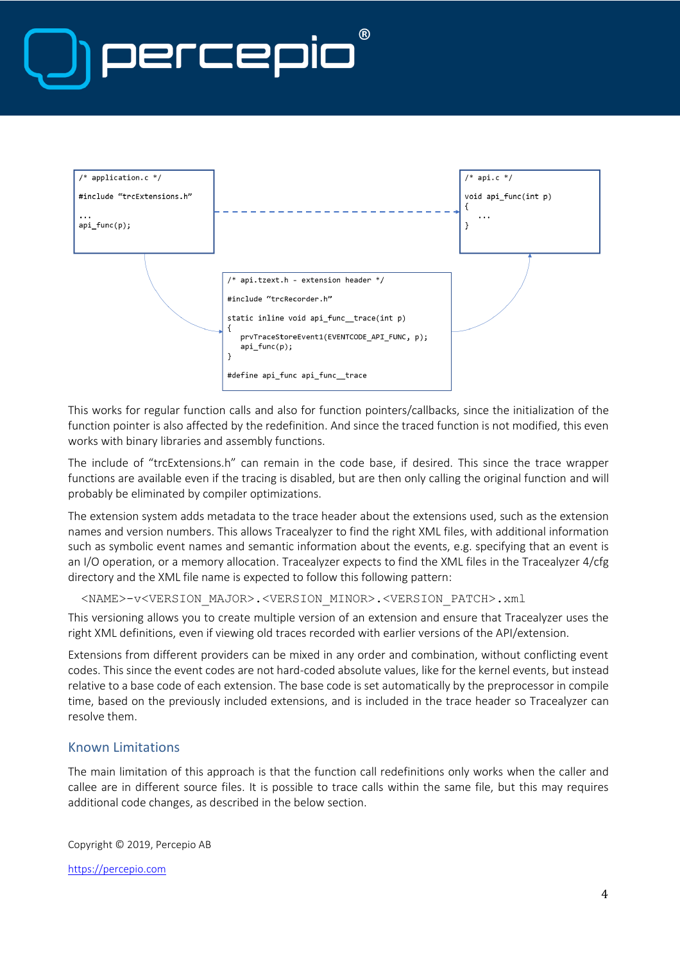# **(R)** DELCEI



This works for regular function calls and also for function pointers/callbacks, since the initialization of the function pointer is also affected by the redefinition. And since the traced function is not modified, this even works with binary libraries and assembly functions.

The include of "trcExtensions.h" can remain in the code base, if desired. This since the trace wrapper functions are available even if the tracing is disabled, but are then only calling the original function and will probably be eliminated by compiler optimizations.

The extension system adds metadata to the trace header about the extensions used, such as the extension names and version numbers. This allows Tracealyzer to find the right XML files, with additional information such as symbolic event names and semantic information about the events, e.g. specifying that an event is an I/O operation, or a memory allocation. Tracealyzer expects to find the XML files in the Tracealyzer 4/cfg directory and the XML file name is expected to follow this following pattern:

```
<NAME>-v<VERSION_MAJOR>.<VERSION_MINOR>.<VERSION_PATCH>.xml
```
This versioning allows you to create multiple version of an extension and ensure that Tracealyzer uses the right XML definitions, even if viewing old traces recorded with earlier versions of the API/extension.

Extensions from different providers can be mixed in any order and combination, without conflicting event codes. This since the event codes are not hard-coded absolute values, like for the kernel events, but instead relative to a base code of each extension. The base code is set automatically by the preprocessor in compile time, based on the previously included extensions, and is included in the trace header so Tracealyzer can resolve them.

#### Known Limitations

The main limitation of this approach is that the function call redefinitions only works when the caller and callee are in different source files. It is possible to trace calls within the same file, but this may requires additional code changes, as described in the below section.

Copyright © 2019, Percepio AB